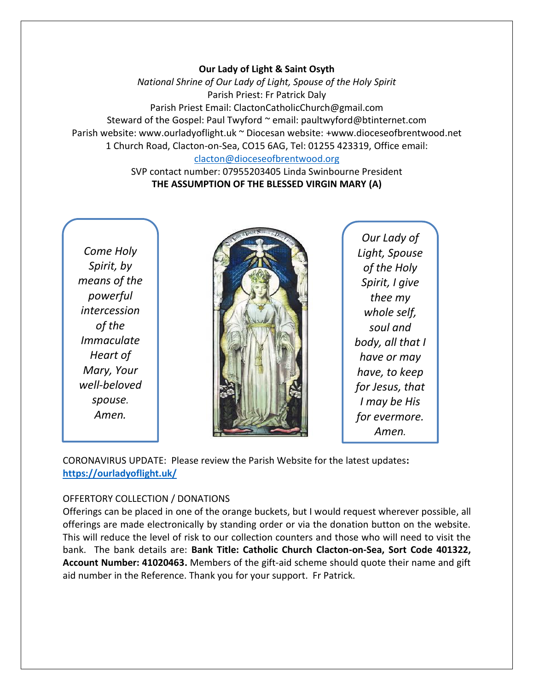### **Our Lady of Light & Saint Osyth**

*National Shrine of Our Lady of Light, Spouse of the Holy Spirit* Parish Priest: Fr Patrick Daly Parish Priest Email: ClactonCatholicChurch@gmail.com Steward of the Gospel: Paul Twyford ~ email: paultwyford@btinternet.com Parish website: www.ourladyoflight.uk ~ Diocesan website: +www.dioceseofbrentwood.net 1 Church Road, Clacton-on-Sea, CO15 6AG, Tel: 01255 423319, Office email: [clacton@dioceseofbrentwood.org](mailto:clacton@dioceseofbrentwood.org)

> SVP contact number: 07955203405 Linda Swinbourne President **THE ASSUMPTION OF THE BLESSED VIRGIN MARY (A)**

*Come Holy Spirit, by means of the powerful intercession of the Immaculate Heart of Mary, Your well-beloved spouse. Amen.*



*Our Lady of Light, Spouse of the Holy Spirit, I give thee my whole self, soul and body, all that I have or may have, to keep for Jesus, that I may be His for evermore. Amen.*

CORONAVIRUS UPDATE: Please review the Parish Website for the latest updates**: <https://ourladyoflight.uk/>**

### OFFERTORY COLLECTION / DONATIONS

Offerings can be placed in one of the orange buckets, but I would request wherever possible, all offerings are made electronically by standing order or via the donation button on the website. This will reduce the level of risk to our collection counters and those who will need to visit the bank. The bank details are: **Bank Title: Catholic Church Clacton-on-Sea, Sort Code 401322, Account Number: 41020463.** Members of the gift-aid scheme should quote their name and gift aid number in the Reference. Thank you for your support. Fr Patrick.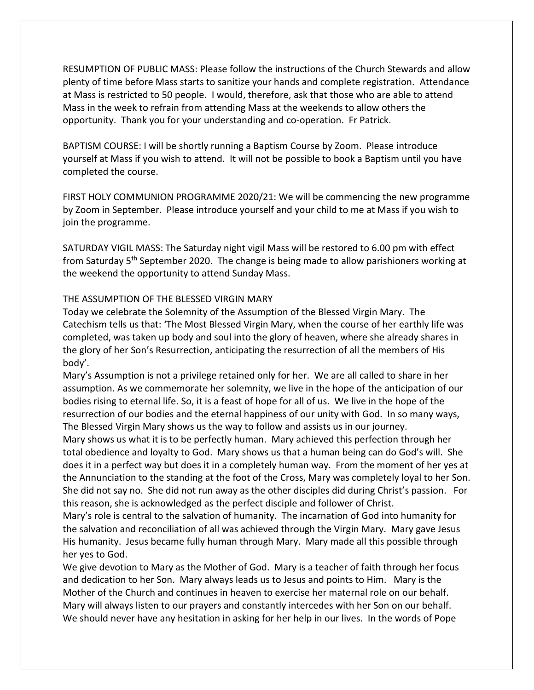RESUMPTION OF PUBLIC MASS: Please follow the instructions of the Church Stewards and allow plenty of time before Mass starts to sanitize your hands and complete registration. Attendance at Mass is restricted to 50 people. I would, therefore, ask that those who are able to attend Mass in the week to refrain from attending Mass at the weekends to allow others the opportunity. Thank you for your understanding and co-operation. Fr Patrick.

BAPTISM COURSE: I will be shortly running a Baptism Course by Zoom. Please introduce yourself at Mass if you wish to attend. It will not be possible to book a Baptism until you have completed the course.

FIRST HOLY COMMUNION PROGRAMME 2020/21: We will be commencing the new programme by Zoom in September. Please introduce yourself and your child to me at Mass if you wish to join the programme.

SATURDAY VIGIL MASS: The Saturday night vigil Mass will be restored to 6.00 pm with effect from Saturday 5th September 2020. The change is being made to allow parishioners working at the weekend the opportunity to attend Sunday Mass.

## THE ASSUMPTION OF THE BLESSED VIRGIN MARY

Today we celebrate the Solemnity of the Assumption of the Blessed Virgin Mary. The Catechism tells us that: 'The Most Blessed Virgin Mary, when the course of her earthly life was completed, was taken up body and soul into the glory of heaven, where she already shares in the glory of her Son's Resurrection, anticipating the resurrection of all the members of His body'.

Mary's Assumption is not a privilege retained only for her. We are all called to share in her assumption. As we commemorate her solemnity, we live in the hope of the anticipation of our bodies rising to eternal life. So, it is a feast of hope for all of us. We live in the hope of the resurrection of our bodies and the eternal happiness of our unity with God. In so many ways, The Blessed Virgin Mary shows us the way to follow and assists us in our journey.

Mary shows us what it is to be perfectly human. Mary achieved this perfection through her total obedience and loyalty to God. Mary shows us that a human being can do God's will. She does it in a perfect way but does it in a completely human way. From the moment of her yes at the Annunciation to the standing at the foot of the Cross, Mary was completely loyal to her Son. She did not say no. She did not run away as the other disciples did during Christ's passion. For this reason, she is acknowledged as the perfect disciple and follower of Christ.

Mary's role is central to the salvation of humanity. The incarnation of God into humanity for the salvation and reconciliation of all was achieved through the Virgin Mary. Mary gave Jesus His humanity. Jesus became fully human through Mary. Mary made all this possible through her yes to God.

We give devotion to Mary as the Mother of God. Mary is a teacher of faith through her focus and dedication to her Son. Mary always leads us to Jesus and points to Him. Mary is the Mother of the Church and continues in heaven to exercise her maternal role on our behalf. Mary will always listen to our prayers and constantly intercedes with her Son on our behalf. We should never have any hesitation in asking for her help in our lives. In the words of Pope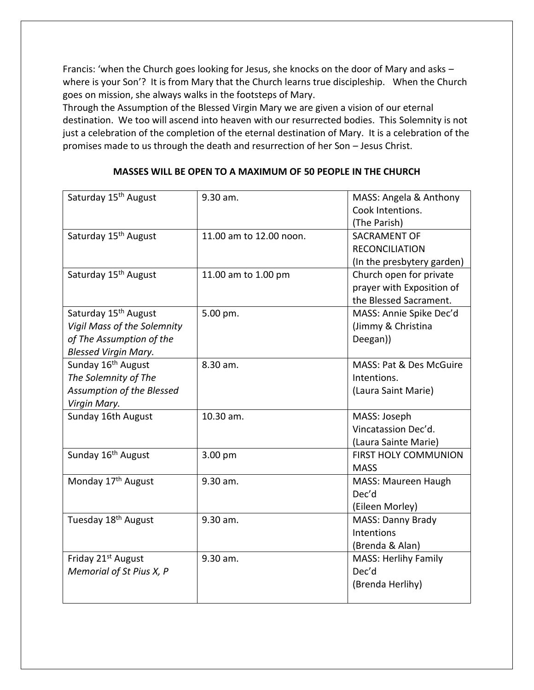Francis: 'when the Church goes looking for Jesus, she knocks on the door of Mary and asks – where is your Son'? It is from Mary that the Church learns true discipleship. When the Church goes on mission, she always walks in the footsteps of Mary.

Through the Assumption of the Blessed Virgin Mary we are given a vision of our eternal destination. We too will ascend into heaven with our resurrected bodies. This Solemnity is not just a celebration of the completion of the eternal destination of Mary. It is a celebration of the promises made to us through the death and resurrection of her Son – Jesus Christ.

## **MASSES WILL BE OPEN TO A MAXIMUM OF 50 PEOPLE IN THE CHURCH**

| Saturday 15 <sup>th</sup> August                                                                                           | 9.30 am.                | MASS: Angela & Anthony<br>Cook Intentions.<br>(The Parish)                     |
|----------------------------------------------------------------------------------------------------------------------------|-------------------------|--------------------------------------------------------------------------------|
| Saturday 15 <sup>th</sup> August                                                                                           | 11.00 am to 12.00 noon. | SACRAMENT OF<br><b>RECONCILIATION</b><br>(In the presbytery garden)            |
| Saturday 15 <sup>th</sup> August                                                                                           | 11.00 am to 1.00 pm     | Church open for private<br>prayer with Exposition of<br>the Blessed Sacrament. |
| Saturday 15 <sup>th</sup> August<br>Vigil Mass of the Solemnity<br>of The Assumption of the<br><b>Blessed Virgin Mary.</b> | 5.00 pm.                | MASS: Annie Spike Dec'd<br>(Jimmy & Christina<br>Deegan))                      |
| Sunday 16 <sup>th</sup> August<br>The Solemnity of The<br>Assumption of the Blessed<br>Virgin Mary.                        | 8.30 am.                | MASS: Pat & Des McGuire<br>Intentions.<br>(Laura Saint Marie)                  |
| Sunday 16th August                                                                                                         | 10.30 am.               | MASS: Joseph<br>Vincatassion Dec'd.<br>(Laura Sainte Marie)                    |
| Sunday 16 <sup>th</sup> August                                                                                             | 3.00 pm                 | <b>FIRST HOLY COMMUNION</b><br><b>MASS</b>                                     |
| Monday 17 <sup>th</sup> August                                                                                             | 9.30 am.                | MASS: Maureen Haugh<br>Dec'd<br>(Eileen Morley)                                |
| Tuesday 18 <sup>th</sup> August                                                                                            | 9.30 am.                | <b>MASS: Danny Brady</b><br>Intentions<br>(Brenda & Alan)                      |
| Friday 21 <sup>st</sup> August<br>Memorial of St Pius X, P                                                                 | 9.30 am.                | <b>MASS: Herlihy Family</b><br>Dec'd<br>(Brenda Herlihy)                       |